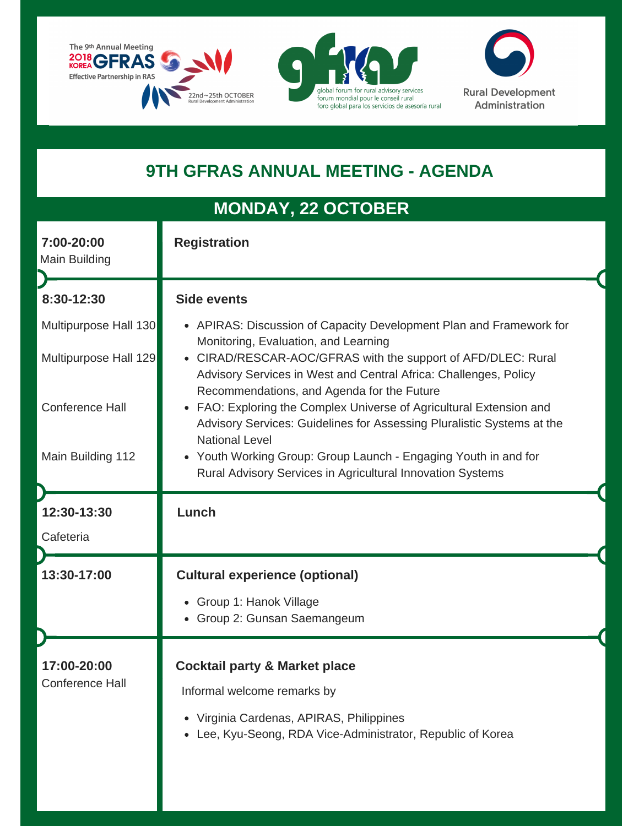





## **9TH GFRAS ANNUAL MEETING - AGENDA**

## **MONDAY, 22 OCTOBER MONDAY, 22 OCTOBER**

| 7:00-20:00<br>Main Building                    | <b>Registration</b>                                                                                                                                                                                                                           |
|------------------------------------------------|-----------------------------------------------------------------------------------------------------------------------------------------------------------------------------------------------------------------------------------------------|
| 8:30-12:30                                     | <b>Side events</b>                                                                                                                                                                                                                            |
| Multipurpose Hall 130<br>Multipurpose Hall 129 | • APIRAS: Discussion of Capacity Development Plan and Framework for<br>Monitoring, Evaluation, and Learning<br>CIRAD/RESCAR-AOC/GFRAS with the support of AFD/DLEC: Rural<br>Advisory Services in West and Central Africa: Challenges, Policy |
| <b>Conference Hall</b>                         | Recommendations, and Agenda for the Future<br>FAO: Exploring the Complex Universe of Agricultural Extension and<br>Advisory Services: Guidelines for Assessing Pluralistic Systems at the<br><b>National Level</b>                            |
| Main Building 112                              | Youth Working Group: Group Launch - Engaging Youth in and for<br>Rural Advisory Services in Agricultural Innovation Systems                                                                                                                   |
| 12:30-13:30                                    | Lunch                                                                                                                                                                                                                                         |
| Cafeteria                                      |                                                                                                                                                                                                                                               |
| 13:30-17:00                                    | <b>Cultural experience (optional)</b>                                                                                                                                                                                                         |
|                                                | Group 1: Hanok Village<br>$\bullet$<br>• Group 2: Gunsan Saemangeum                                                                                                                                                                           |
| 17:00-20:00                                    | <b>Cocktail party &amp; Market place</b>                                                                                                                                                                                                      |
| <b>Conference Hall</b>                         | Informal welcome remarks by                                                                                                                                                                                                                   |
|                                                | Virginia Cardenas, APIRAS, Philippines<br>Lee, Kyu-Seong, RDA Vice-Administrator, Republic of Korea                                                                                                                                           |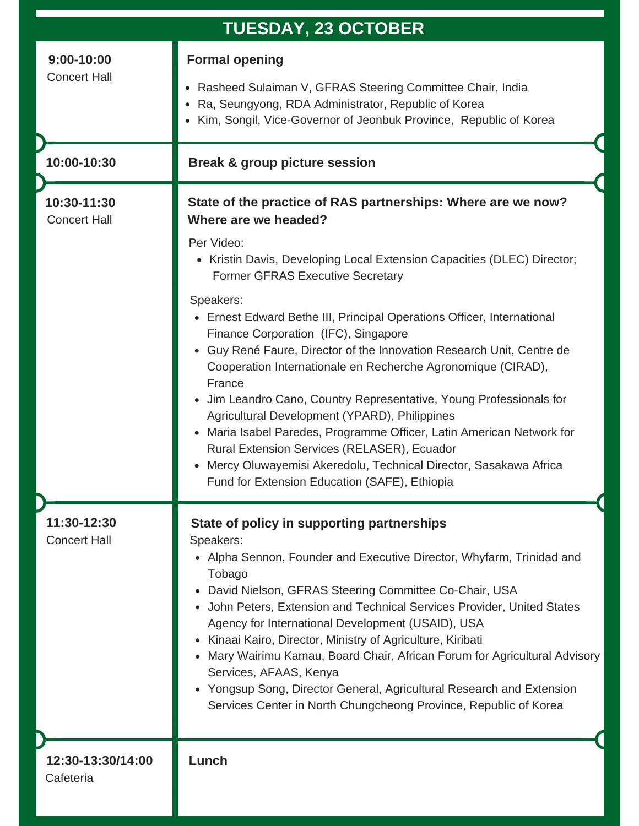| <b>TUESDAY, 23 OCTOBER</b>            |                                                                                                                                                                                                                                                                                                                                                                                                                                                                                                                                                                                                                                                                                                                                                                                                                                                                                                                |
|---------------------------------------|----------------------------------------------------------------------------------------------------------------------------------------------------------------------------------------------------------------------------------------------------------------------------------------------------------------------------------------------------------------------------------------------------------------------------------------------------------------------------------------------------------------------------------------------------------------------------------------------------------------------------------------------------------------------------------------------------------------------------------------------------------------------------------------------------------------------------------------------------------------------------------------------------------------|
| $9:00 - 10:00$<br><b>Concert Hall</b> | <b>Formal opening</b><br>Rasheed Sulaiman V, GFRAS Steering Committee Chair, India<br>Ra, Seungyong, RDA Administrator, Republic of Korea<br>$\bullet$<br>Kim, Songil, Vice-Governor of Jeonbuk Province, Republic of Korea<br>$\bullet$                                                                                                                                                                                                                                                                                                                                                                                                                                                                                                                                                                                                                                                                       |
| 10:00-10:30                           | <b>Break &amp; group picture session</b>                                                                                                                                                                                                                                                                                                                                                                                                                                                                                                                                                                                                                                                                                                                                                                                                                                                                       |
| 10:30-11:30<br><b>Concert Hall</b>    | State of the practice of RAS partnerships: Where are we now?<br>Where are we headed?<br>Per Video:<br>• Kristin Davis, Developing Local Extension Capacities (DLEC) Director;<br><b>Former GFRAS Executive Secretary</b><br>Speakers:<br>Ernest Edward Bethe III, Principal Operations Officer, International<br>$\bullet$<br>Finance Corporation (IFC), Singapore<br>Guy René Faure, Director of the Innovation Research Unit, Centre de<br>$\bullet$<br>Cooperation Internationale en Recherche Agronomique (CIRAD),<br>France<br>Jim Leandro Cano, Country Representative, Young Professionals for<br>$\bullet$<br>Agricultural Development (YPARD), Philippines<br>Maria Isabel Paredes, Programme Officer, Latin American Network for<br>Rural Extension Services (RELASER), Ecuador<br>Mercy Oluwayemisi Akeredolu, Technical Director, Sasakawa Africa<br>Fund for Extension Education (SAFE), Ethiopia |
| 11:30-12:30<br><b>Concert Hall</b>    | State of policy in supporting partnerships<br>Speakers:<br>• Alpha Sennon, Founder and Executive Director, Whyfarm, Trinidad and<br>Tobago<br>David Nielson, GFRAS Steering Committee Co-Chair, USA<br>• John Peters, Extension and Technical Services Provider, United States<br>Agency for International Development (USAID), USA<br>Kinaai Kairo, Director, Ministry of Agriculture, Kiribati<br>Mary Wairimu Kamau, Board Chair, African Forum for Agricultural Advisory<br>Services, AFAAS, Kenya<br>Yongsup Song, Director General, Agricultural Research and Extension<br>Services Center in North Chungcheong Province, Republic of Korea                                                                                                                                                                                                                                                              |
| 12:30-13:30/14:00<br>Cafeteria        | Lunch                                                                                                                                                                                                                                                                                                                                                                                                                                                                                                                                                                                                                                                                                                                                                                                                                                                                                                          |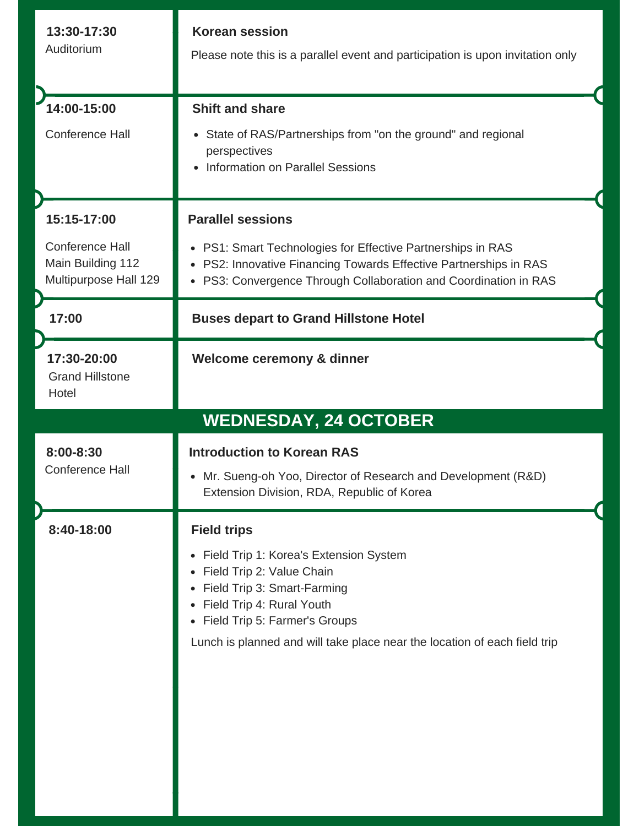| 13:30-17:30<br>Auditorium                                                           | <b>Korean session</b><br>Please note this is a parallel event and participation is upon invitation only                                                                                                                          |
|-------------------------------------------------------------------------------------|----------------------------------------------------------------------------------------------------------------------------------------------------------------------------------------------------------------------------------|
| 14:00-15:00<br><b>Conference Hall</b>                                               | <b>Shift and share</b><br>State of RAS/Partnerships from "on the ground" and regional<br>$\bullet$<br>perspectives<br>Information on Parallel Sessions                                                                           |
| 15:15-17:00<br><b>Conference Hall</b><br>Main Building 112<br>Multipurpose Hall 129 | <b>Parallel sessions</b><br>• PS1: Smart Technologies for Effective Partnerships in RAS<br>• PS2: Innovative Financing Towards Effective Partnerships in RAS<br>• PS3: Convergence Through Collaboration and Coordination in RAS |
| 17:00                                                                               | <b>Buses depart to Grand Hillstone Hotel</b>                                                                                                                                                                                     |
| 17:30-20:00<br><b>Grand Hillstone</b><br>Hotel                                      | Welcome ceremony & dinner                                                                                                                                                                                                        |
|                                                                                     | <b>WEDNESDAY, 24 OCTOBER</b>                                                                                                                                                                                                     |
|                                                                                     |                                                                                                                                                                                                                                  |
| 8:00-8:30<br><b>Conference Hall</b>                                                 | <b>Introduction to Korean RAS</b><br>• Mr. Sueng-oh Yoo, Director of Research and Development (R&D)<br>Extension Division, RDA, Republic of Korea                                                                                |